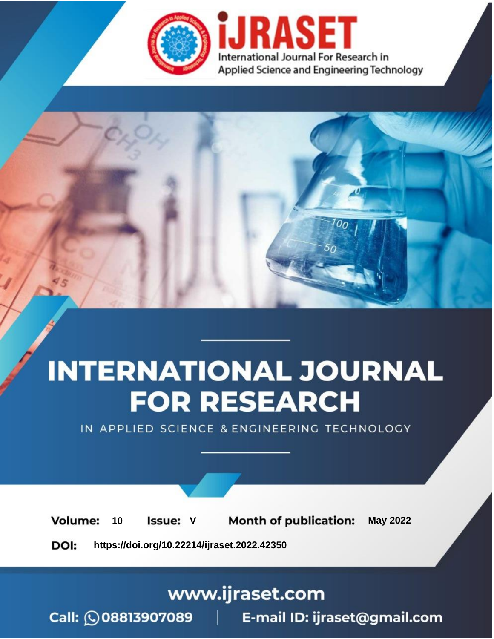

# **INTERNATIONAL JOURNAL FOR RESEARCH**

IN APPLIED SCIENCE & ENGINEERING TECHNOLOGY

Volume: **Month of publication: May 2022** 10 **Issue: V** 

DOI: https://doi.org/10.22214/ijraset.2022.42350

www.ijraset.com

Call: 008813907089 | E-mail ID: ijraset@gmail.com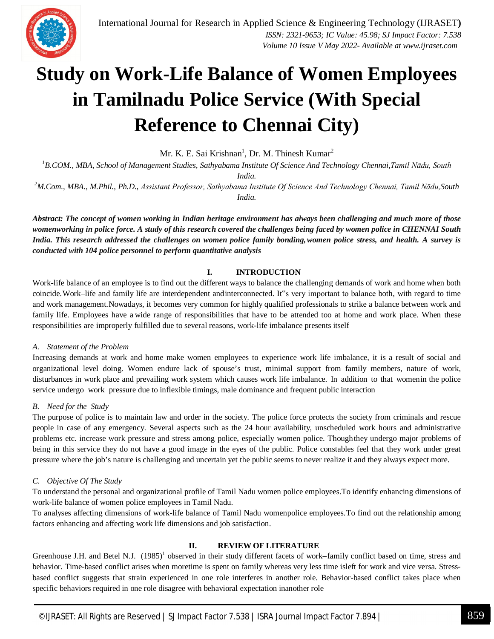

### **Study on Work-Life Balance of Women Employees in Tamilnadu Police Service (With Special Reference to Chennai City)**

Mr. K. E. Sai Krishnan<sup>1</sup>, Dr. M. Thinesh Kumar<sup>2</sup>

*<sup>1</sup>B.COM., MBA, School of Management Studies, Sathyabama Institute Of Science And Technology Chennai,Tamil Nādu, South* 

*India.*

*<sup>2</sup>M.Com., MBA., M.Phil., Ph.D., Assistant Professor, Sathyabama Institute Of Science And Technology Chennai, Tamil Nādu,South India.*

*Abstract: The concept of women working in Indian heritage environment has always been challenging and much more of those womenworking in police force. A study of this research covered the challenges being faced by women police in CHENNAI South India. This research addressed the challenges on women police family bonding,women police stress, and health. A survey is conducted with 104 police personnel to perform quantitative analysis*

#### **I. INTRODUCTION**

Work-life balance of an employee is to find out the different ways to balance the challenging demands of work and home when both coincide.Work–life and family life are interdependent andinterconnected. It"s very important to balance both, with regard to time and work management.Nowadays, it becomes very common for highly qualified professionals to strike a balance between work and family life. Employees have a wide range of responsibilities that have to be attended too at home and work place. When these responsibilities are improperly fulfilled due to several reasons, work-life imbalance presents itself

#### *A. Statement of the Problem*

Increasing demands at work and home make women employees to experience work life imbalance, it is a result of social and organizational level doing. Women endure lack of spouse's trust, minimal support from family members, nature of work, disturbances in work place and prevailing work system which causes work life imbalance. In addition to that womenin the police service undergo work pressure due to inflexible timings, male dominance and frequent public interaction

#### *B. Need for the Study*

The purpose of police is to maintain law and order in the society. The police force protects the society from criminals and rescue people in case of any emergency. Several aspects such as the 24 hour availability, unscheduled work hours and administrative problems etc. increase work pressure and stress among police, especially women police. Thoughthey undergo major problems of being in this service they do not have a good image in the eyes of the public. Police constables feel that they work under great pressure where the job's nature is challenging and uncertain yet the public seems to never realize it and they always expect more.

#### *C. Objective Of The Study*

To understand the personal and organizational profile of Tamil Nadu women police employees.To identify enhancing dimensions of work-life balance of women police employees in Tamil Nadu.

To analyses affecting dimensions of work-life balance of Tamil Nadu womenpolice employees.To find out the relationship among factors enhancing and affecting work life dimensions and job satisfaction.

#### **II. REVIEW OF LITERATURE**

Greenhouse J.H. and Betel N.J. (1985)<sup>1</sup> observed in their study different facets of work–family conflict based on time, stress and behavior. Time-based conflict arises when moretime is spent on family whereas very less time isleft for work and vice versa. Stressbased conflict suggests that strain experienced in one role interferes in another role. Behavior-based conflict takes place when specific behaviors required in one role disagree with behavioral expectation inanother role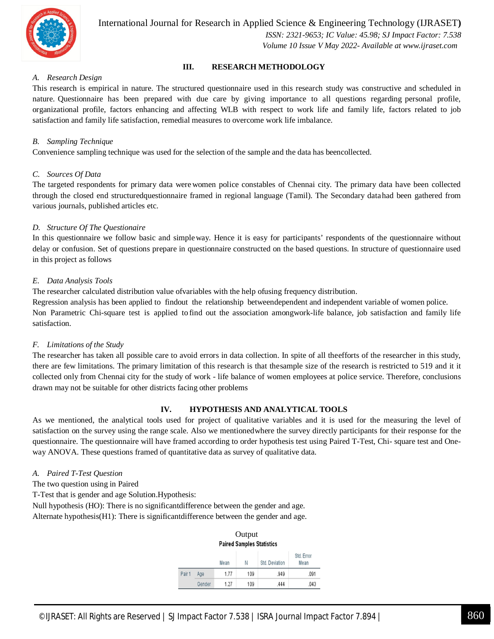

International Journal for Research in Applied Science & Engineering Technology (IJRASET**)**

 *ISSN: 2321-9653; IC Value: 45.98; SJ Impact Factor: 7.538 Volume 10 Issue V May 2022- Available at www.ijraset.com*

#### **III. RESEARCH METHODOLOGY**

#### *A. Research Design*

This research is empirical in nature. The structured questionnaire used in this research study was constructive and scheduled in nature. Questionnaire has been prepared with due care by giving importance to all questions regarding personal profile, organizational profile, factors enhancing and affecting WLB with respect to work life and family life, factors related to job satisfaction and family life satisfaction, remedial measures to overcome work life imbalance.

#### *B. Sampling Technique*

Convenience sampling technique was used for the selection of the sample and the data has beencollected.

#### *C. Sources Of Data*

The targeted respondents for primary data werewomen police constables of Chennai city. The primary data have been collected through the closed end structuredquestionnaire framed in regional language (Tamil). The Secondary datahad been gathered from various journals, published articles etc.

#### *D. Structure Of The Questionaire*

In this questionnaire we follow basic and simpleway. Hence it is easy for participants' respondents of the questionnaire without delay or confusion. Set of questions prepare in questionnaire constructed on the based questions. In structure of questionnaire used in this project as follows

#### *E. Data Analysis Tools*

The researcher calculated distribution value ofvariables with the help ofusing frequency distribution.

Regression analysis has been applied to findout the relationship betweendependent and independent variable of women police. Non Parametric Chi-square test is applied to find out the association amongwork-life balance, job satisfaction and family life satisfaction.

#### *F. Limitations of the Study*

The researcher has taken all possible care to avoid errors in data collection. In spite of all theefforts of the researcher in this study, there are few limitations. The primary limitation of this research is that thesample size of the research is restricted to 519 and it it collected only from Chennai city for the study of work - life balance of women employees at police service. Therefore, conclusions drawn may not be suitable for other districts facing other problems

#### **IV. HYPOTHESIS AND ANALYTICAL TOOLS**

As we mentioned, the analytical tools used for project of qualitative variables and it is used for the measuring the level of satisfaction on the survey using the range scale. Also we mentionedwhere the survey directly participants for their response for the questionnaire. The questionnaire will have framed according to order hypothesis test using Paired T-Test, Chi- square test and Oneway ANOVA. These questions framed of quantitative data as survey of qualitative data.

#### *A. Paired T-Test Question*

The two question using in Paired

T-Test that is gender and age Solution.Hypothesis:

Null hypothesis (HO): There is no significantdifference between the gender and age. Alternate hypothesis(H1): There is significantdifference between the gender and age.

|        |        | <b>Paired Samples Statistics</b> | Output |                |                    |
|--------|--------|----------------------------------|--------|----------------|--------------------|
|        |        | Mean                             | Ν      | Std. Deviation | Std. Error<br>Mean |
| Pair 1 | Age    | 1.77                             | 109    | .949           | .091               |
|        | Gender | 1.27                             | 109    | .444           | .043               |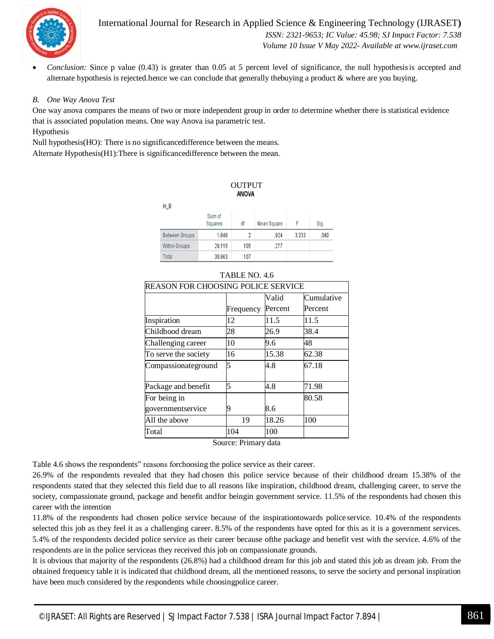

International Journal for Research in Applied Science & Engineering Technology (IJRASET**)**  *ISSN: 2321-9653; IC Value: 45.98; SJ Impact Factor: 7.538 Volume 10 Issue V May 2022- Available at www.ijraset.com*

*Conclusion:* Since p value (0.43) is greater than 0.05 at 5 percent level of significance, the null hypothesis is accepted and alternate hypothesis is rejected.hence we can conclude that generally thebuying a product & where are you buying.

#### *B. One Way Anova Test*

One way anova compares the means of two or more independent group in order to determine whether there is statistical evidence that is associated population means. One way Anova isa parametric test. Hypothesis

Null hypothesis(HO): There is no significancedifference between the means. Alternate Hypothesis(H1):There is significancedifference between the mean.

| in_B                  | <b>OUTPUT</b><br><b>ANOVA</b> |                |             |       |      |
|-----------------------|-------------------------------|----------------|-------------|-------|------|
|                       | Sum of<br>Squares             | df             | Mean Square | F     | Sig. |
| <b>Between Groups</b> | 1.848                         | $\overline{2}$ | .924        | 3.333 | .040 |
| Within Groups         | 29.115                        | 105            | .277        |       |      |
| Total                 | 30.963                        | 107            |             |       |      |

|           | Valid   | Cumulative                         |
|-----------|---------|------------------------------------|
| Frequency | Percent | Percent                            |
| 12        | 11.5    | 11.5                               |
| 28        | 26.9    | 38.4                               |
| 10        | 9.6     | 48                                 |
| 16        | 15.38   | 62.38                              |
| 5         | 4.8     | 67.18                              |
|           | 4.8     | 71.98                              |
|           |         | 80.58                              |
|           | 8.6     |                                    |
| 19        | 18.26   | 100                                |
| 104       | 100     |                                    |
|           |         | REASON FOR CHOOSING POLICE SERVICE |

#### TABLE NO. 4.6

Source: Primary data

Table 4.6 shows the respondents" reasons forchoosing the police service as their career.

26.9% of the respondents revealed that they had chosen this police service because of their childhood dream 15.38% of the respondents stated that they selected this field due to all reasons like inspiration, childhood dream, challenging career, to serve the society, compassionate ground, package and benefit andfor beingin government service. 11.5% of the respondents had chosen this career with the intention

11.8% of the respondents had chosen police service because of the inspirationtowards police service. 10.4% of the respondents selected this job as they feel it as a challenging career. 8.5% of the respondents have opted for this as it is a government services. 5.4% of the respondents decided police service as their career because ofthe package and benefit vest with the service. 4.6% of the respondents are in the police serviceas they received this job on compassionate grounds.

It is obvious that majority of the respondents (26.8%) had a childhood dream for this job and stated this job as dream job. From the obtained frequency table it is indicated that childhood dream, all the mentioned reasons, to serve the society and personal inspiration have been much considered by the respondents while choosingpolice career.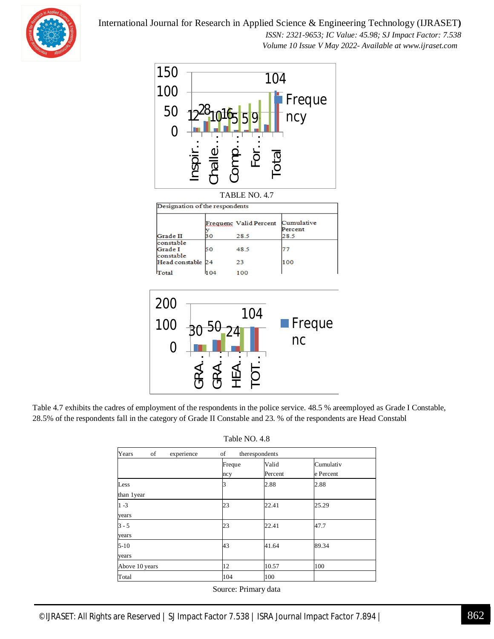

#### International Journal for Research in Applied Science & Engineering Technology (IJRASET**)**

 *ISSN: 2321-9653; IC Value: 45.98; SJ Impact Factor: 7.538 Volume 10 Issue V May 2022- Available at www.ijraset.com*





Table 4.7 exhibits the cadres of employment of the respondents in the police service. 48.5 % areemployed as Grade I Constable, 28.5% of the respondents fall in the category of Grade II Constable and 23. % of the respondents are Head Constabl

| Table NO. 4.8 |  |  |
|---------------|--|--|
|---------------|--|--|

| Years<br>of<br>experience | of            | therespondents   |                        |  |  |
|---------------------------|---------------|------------------|------------------------|--|--|
|                           | Freque<br>ncy | Valid<br>Percent | Cumulativ<br>e Percent |  |  |
| Less                      |               | 2.88             | 2.88                   |  |  |
| than 1year                |               |                  |                        |  |  |
| $1 - 3$                   | 23            | 22.41            | 25.29                  |  |  |
| years                     |               |                  |                        |  |  |
| $3 - 5$                   | 23            | 22.41            | 47.7                   |  |  |
| years                     |               |                  |                        |  |  |
| $5-10$                    | 43            | 41.64            | 89.34                  |  |  |
| years                     |               |                  |                        |  |  |
| Above 10 years            | 12            | 10.57            | 100                    |  |  |
| Total                     | 104           | 100              |                        |  |  |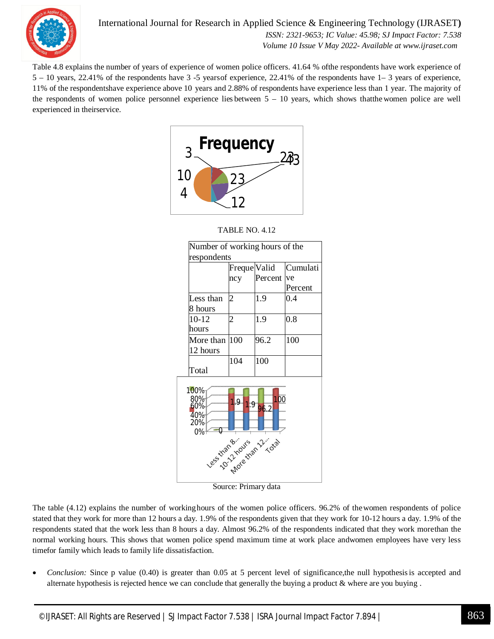

International Journal for Research in Applied Science & Engineering Technology (IJRASET**)**  *ISSN: 2321-9653; IC Value: 45.98; SJ Impact Factor: 7.538 Volume 10 Issue V May 2022- Available at www.ijraset.com*

Table 4.8 explains the number of years of experience of women police officers. 41.64 % ofthe respondents have work experience of 5 – 10 years, 22.41% of the respondents have 3 -5 yearsof experience, 22.41% of the respondents have 1– 3 years of experience, 11% of the respondentshave experience above 10 years and 2.88% of respondents have experience less than 1 year. The majority of the respondents of women police personnel experience lies between  $5 - 10$  years, which shows that the women police are well experienced in theirservice.



| Number of working hours of the            |                |                            |          |  |
|-------------------------------------------|----------------|----------------------------|----------|--|
| respondents                               |                |                            |          |  |
|                                           | Freque Valid   |                            | Cumulati |  |
|                                           | ncy            | Percent                    | ve       |  |
|                                           |                |                            | Percent  |  |
| Less than                                 | $\overline{2}$ | 1.9                        | 0.4      |  |
| 8 hours                                   |                |                            |          |  |
| $10-12$                                   | $\overline{c}$ | 1.9                        | 0.8      |  |
| hours                                     |                |                            |          |  |
| More than                                 | 100            | 96.2                       | 100      |  |
| 12 hours                                  |                |                            |          |  |
|                                           | 104            | 100                        |          |  |
| Total                                     |                |                            |          |  |
| 100%<br>80%<br>60%<br>40%<br>20%<br>$0\%$ | 1.9<br>1.9     | 1 <sub>00</sub><br>96.2    |          |  |
|                                           |                | Less translations 2-2 days |          |  |

Source: Primary data

The table (4.12) explains the number of workinghours of the women police officers. 96.2% of thewomen respondents of police stated that they work for more than 12 hours a day. 1.9% of the respondents given that they work for 10-12 hours a day. 1.9% of the respondents stated that the work less than 8 hours a day. Almost 96.2% of the respondents indicated that they work morethan the normal working hours. This shows that women police spend maximum time at work place andwomen employees have very less timefor family which leads to family life dissatisfaction.

*Conclusion:* Since p value (0.40) is greater than 0.05 at 5 percent level of significance,the null hypothesis is accepted and alternate hypothesis is rejected hence we can conclude that generally the buying a product & where are you buying .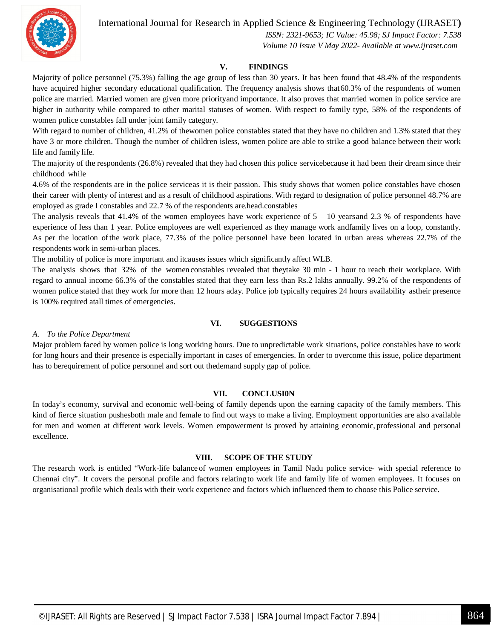International Journal for Research in Applied Science & Engineering Technology (IJRASET**)**



 *ISSN: 2321-9653; IC Value: 45.98; SJ Impact Factor: 7.538 Volume 10 Issue V May 2022- Available at www.ijraset.com*

#### **V. FINDINGS**

Majority of police personnel (75.3%) falling the age group of less than 30 years. It has been found that 48.4% of the respondents have acquired higher secondary educational qualification. The frequency analysis shows that60.3% of the respondents of women police are married. Married women are given more priorityand importance. It also proves that married women in police service are higher in authority while compared to other marital statuses of women. With respect to family type, 58% of the respondents of women police constables fall under joint family category.

With regard to number of children, 41.2% of thewomen police constables stated that they have no children and 1.3% stated that they have 3 or more children. Though the number of children isless, women police are able to strike a good balance between their work life and family life.

The majority of the respondents (26.8%) revealed that they had chosen this police servicebecause it had been their dream since their childhood while

4.6% of the respondents are in the police serviceas it is their passion. This study shows that women police constables have chosen their career with plenty of interest and as a result of childhood aspirations. With regard to designation of police personnel 48.7% are employed as grade I constables and 22.7 % of the respondents are.head.constables

The analysis reveals that 41.4% of the women employees have work experience of  $5 - 10$  years and 2.3 % of respondents have experience of less than 1 year. Police employees are well experienced as they manage work andfamily lives on a loop, constantly. As per the location ofthe work place, 77.3% of the police personnel have been located in urban areas whereas 22.7% of the respondents work in semi-urban places.

The mobility of police is more important and itcauses issues which significantly affect WLB.

The analysis shows that 32% of the womenconstables revealed that theytake 30 min - 1 hour to reach their workplace. With regard to annual income 66.3% of the constables stated that they earn less than Rs.2 lakhs annually. 99.2% of the respondents of women police stated that they work for more than 12 hours aday. Police job typically requires 24 hours availability astheir presence is 100% required atall times of emergencies.

#### **VI. SUGGESTIONS**

#### *A. To the Police Department*

Major problem faced by women police is long working hours. Due to unpredictable work situations, police constables have to work for long hours and their presence is especially important in cases of emergencies. In order to overcome this issue, police department has to berequirement of police personnel and sort out thedemand supply gap of police.

#### **VII. CONCLUSI0N**

In today's economy, survival and economic well-being of family depends upon the earning capacity of the family members. This kind of fierce situation pushesboth male and female to find out ways to make a living. Employment opportunities are also available for men and women at different work levels. Women empowerment is proved by attaining economic, professional and personal excellence.

#### **VIII. SCOPE OF THE STUDY**

The research work is entitled "Work-life balance of women employees in Tamil Nadu police service- with special reference to Chennai city". It covers the personal profile and factors relatingto work life and family life of women employees. It focuses on organisational profile which deals with their work experience and factors which influenced them to choose this Police service.